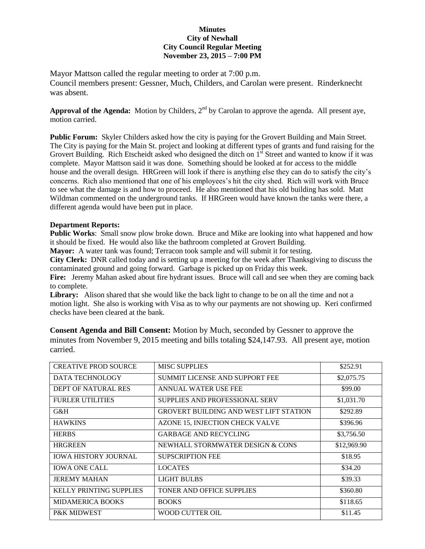## **Minutes City of Newhall City Council Regular Meeting November 23, 2015 – 7:00 PM**

Mayor Mattson called the regular meeting to order at 7:00 p.m. Council members present: Gessner, Much, Childers, and Carolan were present. Rinderknecht was absent.

Approval of the Agenda: Motion by Childers, 2<sup>nd</sup> by Carolan to approve the agenda. All present aye, motion carried.

**Public Forum:** Skyler Childers asked how the city is paying for the Grovert Building and Main Street. The City is paying for the Main St. project and looking at different types of grants and fund raising for the Grovert Building. Rich Etscheidt asked who designed the ditch on 1<sup>st</sup> Street and wanted to know if it was complete. Mayor Mattson said it was done. Something should be looked at for access to the middle house and the overall design. HRGreen will look if there is anything else they can do to satisfy the city's concerns. Rich also mentioned that one of his employees's hit the city shed. Rich will work with Bruce to see what the damage is and how to proceed. He also mentioned that his old building has sold. Matt Wildman commented on the underground tanks. If HRGreen would have known the tanks were there, a different agenda would have been put in place.

## **Department Reports:**

**Public Works**: Small snow plow broke down. Bruce and Mike are looking into what happened and how it should be fixed. He would also like the bathroom completed at Grovert Building.

**Mayor:** A water tank was found; Terracon took sample and will submit it for testing.

**City Clerk:** DNR called today and is setting up a meeting for the week after Thanksgiving to discuss the contaminated ground and going forward. Garbage is picked up on Friday this week.

**Fire:** Jeremy Mahan asked about fire hydrant issues. Bruce will call and see when they are coming back to complete.

**Library:** Alison shared that she would like the back light to change to be on all the time and not a motion light. She also is working with Visa as to why our payments are not showing up. Keri confirmed checks have been cleared at the bank.

| <b>Consent Agenda and Bill Consent:</b> Motion by Much, seconded by Gessner to approve the    |  |  |  |
|-----------------------------------------------------------------------------------------------|--|--|--|
| minutes from November 9, 2015 meeting and bills totaling \$24,147.93. All present aye, motion |  |  |  |
| carried.                                                                                      |  |  |  |

| <b>CREATIVE PROD SOURCE</b>    | <b>MISC SUPPLIES</b>                          | \$252.91    |
|--------------------------------|-----------------------------------------------|-------------|
| DATA TECHNOLOGY                | SUMMIT LICENSE AND SUPPORT FEE                | \$2,075.75  |
| <b>DEPT OF NATURAL RES</b>     | ANNUAL WATER USE FEE                          | \$99.00     |
| <b>FURLER UTILITIES</b>        | SUPPLIES AND PROFESSIONAL SERV                | \$1,031.70  |
| G&H                            | <b>GROVERT BUILDING AND WEST LIFT STATION</b> | \$292.89    |
| <b>HAWKINS</b>                 | AZONE 15, INJECTION CHECK VALVE               | \$396.96    |
| <b>HERBS</b>                   | <b>GARBAGE AND RECYCLING</b>                  | \$3,756.50  |
| <b>HRGREEN</b>                 | NEWHALL STORMWATER DESIGN & CONS              | \$12,969.90 |
| <b>IOWA HISTORY JOURNAL</b>    | <b>SUPSCRIPTION FEE</b>                       | \$18.95     |
| <b>IOWA ONE CALL</b>           | <b>LOCATES</b>                                | \$34.20     |
| <b>JEREMY MAHAN</b>            | LIGHT BULBS                                   | \$39.33     |
| <b>KELLY PRINTING SUPPLIES</b> | TONER AND OFFICE SUPPLIES                     | \$360.80    |
| <b>MIDAMERICA BOOKS</b>        | <b>BOOKS</b>                                  | \$118.65    |
| <b>P&amp;K MIDWEST</b>         | WOOD CUTTER OIL                               | \$11.45     |